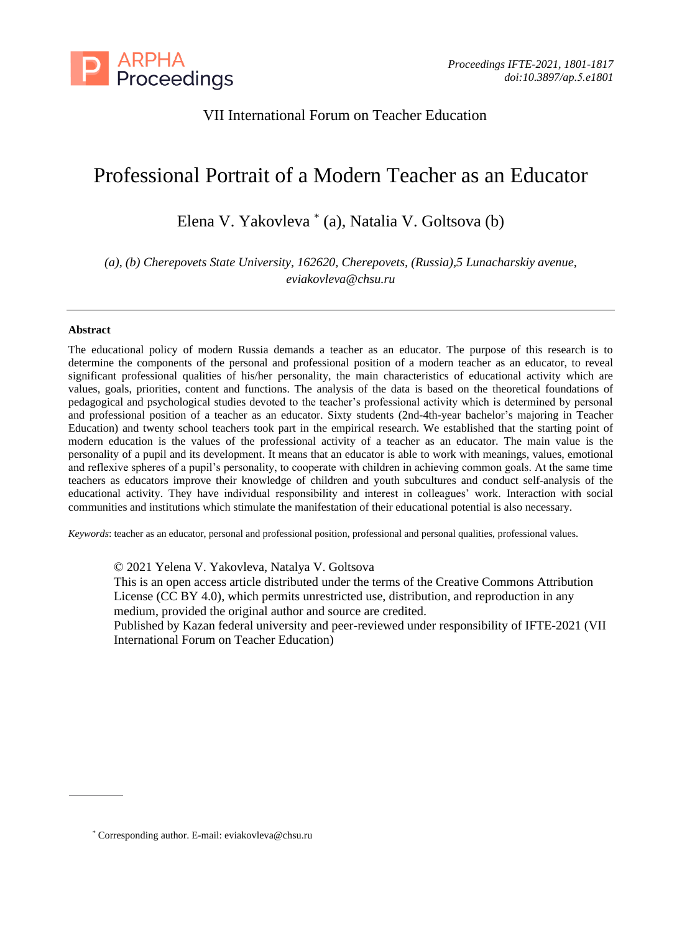

# VII International Forum on Teacher Education

# Professional Portrait of a Modern Teacher as an Educator

Elena V. Yakovleva \* (a), Natalia V. Goltsova (b)

*(a), (b) Cherepovets State University, 162620, Cherepovets, (Russia),5 Lunacharskiy avenue, eviakovleva@chsu.ru* 

## **Abstract**

The educational policy of modern Russia demands a teacher as an educator. The purpose of this research is to determine the components of the personal and professional position of a modern teacher as an educator, to reveal significant professional qualities of his/her personality, the main characteristics of educational activity which are values, goals, priorities, content and functions. The analysis of the data is based on the theoretical foundations of pedagogical and psychological studies devoted to the teacher's professional activity which is determined by personal and professional position of a teacher as an educator. Sixty students (2nd-4th-year bachelor's majoring in Teacher Education) and twenty school teachers took part in the empirical research. We established that the starting point of modern education is the values of the professional activity of a teacher as an educator. The main value is the personality of a pupil and its development. It means that an educator is able to work with meanings, values, emotional and reflexive spheres of a pupil's personality, to cooperate with children in achieving common goals. At the same time teachers as educators improve their knowledge of children and youth subcultures and conduct self-analysis of the educational activity. They have individual responsibility and interest in colleagues' work. Interaction with social communities and institutions which stimulate the manifestation of their educational potential is also necessary.

*Keywords*: teacher as an educator, personal and professional position, professional and personal qualities, professional values.

© 2021 Yelena V. Yakovleva, Natalya V. Goltsova

This is an open access article distributed under the terms of the Creative Commons Attribution License (CC BY 4.0), which permits unrestricted use, distribution, and reproduction in any medium, provided the original author and source are credited.

Published by Kazan federal university and peer-reviewed under responsibility of IFTE-2021 (VII International Forum on Teacher Education)

<sup>\*</sup> Corresponding author. E-mail: eviakovleva@chsu.ru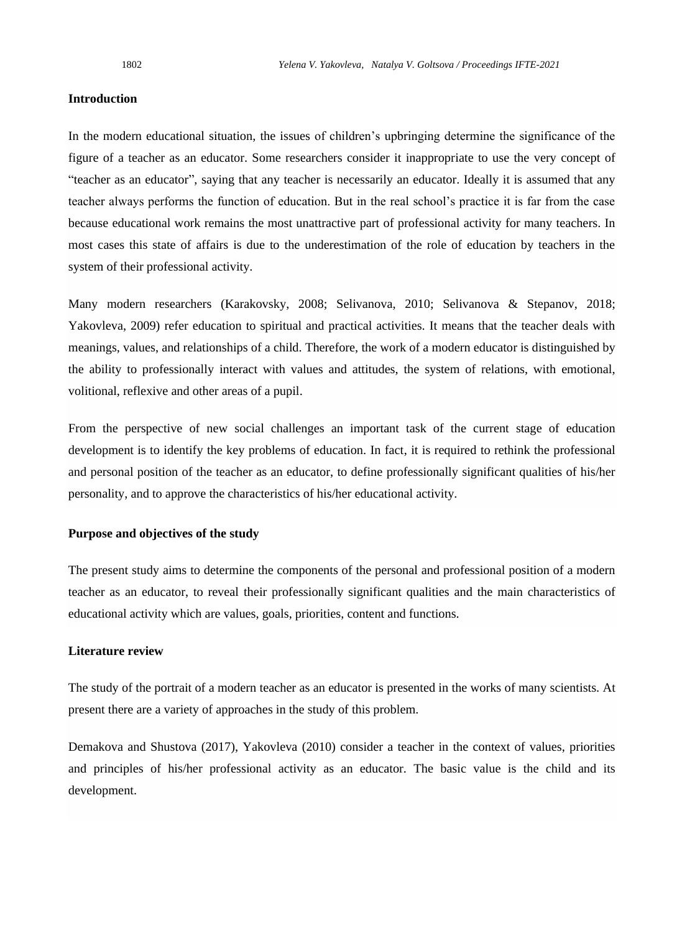#### **Introduction**

In the modern educational situation, the issues of children's upbringing determine the significance of the figure of a teacher as an educator. Some researchers consider it inappropriate to use the very concept of "teacher as an educator", saying that any teacher is necessarily an educator. Ideally it is assumed that any teacher always performs the function of education. But in the real school's practice it is far from the case because educational work remains the most unattractive part of professional activity for many teachers. In most cases this state of affairs is due to the underestimation of the role of education by teachers in the system of their professional activity.

Many modern researchers (Karakovsky, 2008; Selivanova, 2010; Selivanova & Stepanov, 2018; Yakovleva, 2009) refer education to spiritual and practical activities. It means that the teacher deals with meanings, values, and relationships of a child. Therefore, the work of a modern educator is distinguished by the ability to professionally interact with values and attitudes, the system of relations, with emotional, volitional, reflexive and other areas of a pupil.

From the perspective of new social challenges an important task of the current stage of education development is to identify the key problems of education. In fact, it is required to rethink the professional and personal position of the teacher as an educator, to define professionally significant qualities of his/her personality, and to approve the characteristics of his/her educational activity.

#### **Purpose and objectives of the study**

The present study aims to determine the components of the personal and professional position of a modern teacher as an educator, to reveal their professionally significant qualities and the main characteristics of educational activity which are values, goals, priorities, content and functions.

# **Literature review**

The study of the portrait of a modern teacher as an educator is presented in the works of many scientists. At present there are a variety of approaches in the study of this problem.

Demakova and Shustova (2017), Yakovleva (2010) consider a teacher in the context of values, priorities and principles of his/her professional activity as an educator. The basic value is the child and its development.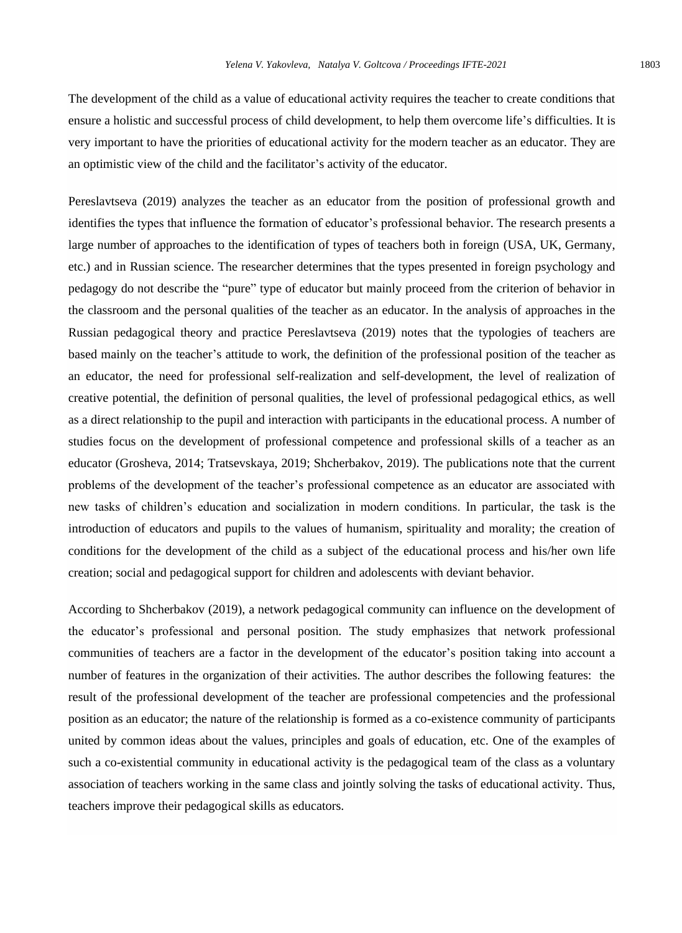The development of the child as a value of educational activity requires the teacher to create conditions that ensure a holistic and successful process of child development, to help them overcome life's difficulties. It is very important to have the priorities of educational activity for the modern teacher as an educator. They are an optimistic view of the child and the facilitator's activity of the educator.

Pereslavtseva (2019) analyzes the teacher as an educator from the position of professional growth and identifies the types that influence the formation of educator's professional behavior. The research presents a large number of approaches to the identification of types of teachers both in foreign (USA, UK, Germany, etc.) and in Russian science. The researcher determines that the types presented in foreign psychology and pedagogy do not describe the "pure" type of educator but mainly proceed from the criterion of behavior in the classroom and the personal qualities of the teacher as an educator. In the analysis of approaches in the Russian pedagogical theory and practice Pereslavtseva (2019) notes that the typologies of teachers are based mainly on the teacher's attitude to work, the definition of the professional position of the teacher as an educator, the need for professional self-realization and self-development, the level of realization of creative potential, the definition of personal qualities, the level of professional pedagogical ethics, as well as a direct relationship to the pupil and interaction with participants in the educational process. A number of studies focus on the development of professional competence and professional skills of a teacher as an educator (Grosheva, 2014; Tratsevskaya, 2019; Shcherbakov, 2019). The publications note that the current problems of the development of the teacher's professional competence as an educator are associated with new tasks of children's education and socialization in modern conditions. In particular, the task is the introduction of educators and pupils to the values of humanism, spirituality and morality; the creation of conditions for the development of the child as a subject of the educational process and his/her own life creation; social and pedagogical support for children and adolescents with deviant behavior.

According to Shcherbakov (2019), a network pedagogical community can influence on the development of the educator's professional and personal position. The study emphasizes that network professional communities of teachers are a factor in the development of the educator's position taking into account a number of features in the organization of their activities. The author describes the following features: the result of the professional development of the teacher are professional competencies and the professional position as an educator; the nature of the relationship is formed as a co-existence community of participants united by common ideas about the values, principles and goals of education, etc. One of the examples of such a co-existential community in educational activity is the pedagogical team of the class as a voluntary association of teachers working in the same class and jointly solving the tasks of educational activity. Thus, teachers improve their pedagogical skills as educators.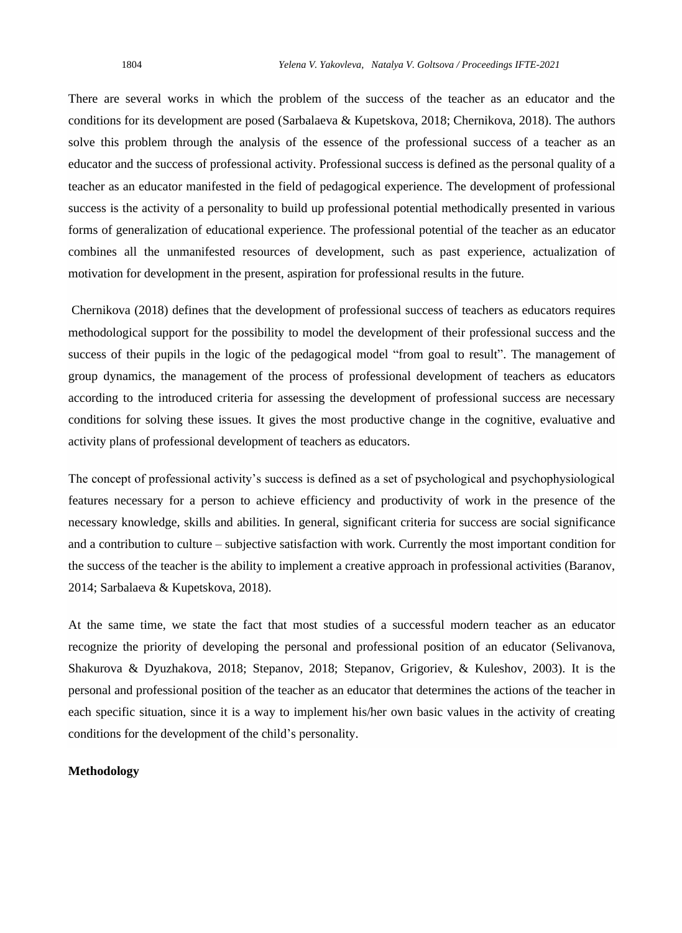There are several works in which the problem of the success of the teacher as an educator and the conditions for its development are posed (Sarbalaeva & Kupetskova, 2018; Chernikova, 2018). The authors solve this problem through the analysis of the essence of the professional success of a teacher as an educator and the success of professional activity. Professional success is defined as the personal quality of a teacher as an educator manifested in the field of pedagogical experience. The development of professional success is the activity of a personality to build up professional potential methodically presented in various forms of generalization of educational experience. The professional potential of the teacher as an educator combines all the unmanifested resources of development, such as past experience, actualization of motivation for development in the present, aspiration for professional results in the future.

Chernikova (2018) defines that the development of professional success of teachers as educators requires methodological support for the possibility to model the development of their professional success and the success of their pupils in the logic of the pedagogical model "from goal to result". The management of group dynamics, the management of the process of professional development of teachers as educators according to the introduced criteria for assessing the development of professional success are necessary conditions for solving these issues. It gives the most productive change in the cognitive, evaluative and activity plans of professional development of teachers as educators.

The concept of professional activity's success is defined as a set of psychological and psychophysiological features necessary for a person to achieve efficiency and productivity of work in the presence of the necessary knowledge, skills and abilities. In general, significant criteria for success are social significance and a contribution to culture – subjective satisfaction with work. Currently the most important condition for the success of the teacher is the ability to implement a creative approach in professional activities (Baranov, 2014; Sarbalaeva & Kupetskova, 2018).

At the same time, we state the fact that most studies of a successful modern teacher as an educator recognize the priority of developing the personal and professional position of an educator (Selivanova, Shakurova & Dyuzhakova, 2018; Stepanov, 2018; Stepanov, Grigoriev, & Kuleshov, 2003). It is the personal and professional position of the teacher as an educator that determines the actions of the teacher in each specific situation, since it is a way to implement his/her own basic values in the activity of creating conditions for the development of the child's personality.

### **Methodology**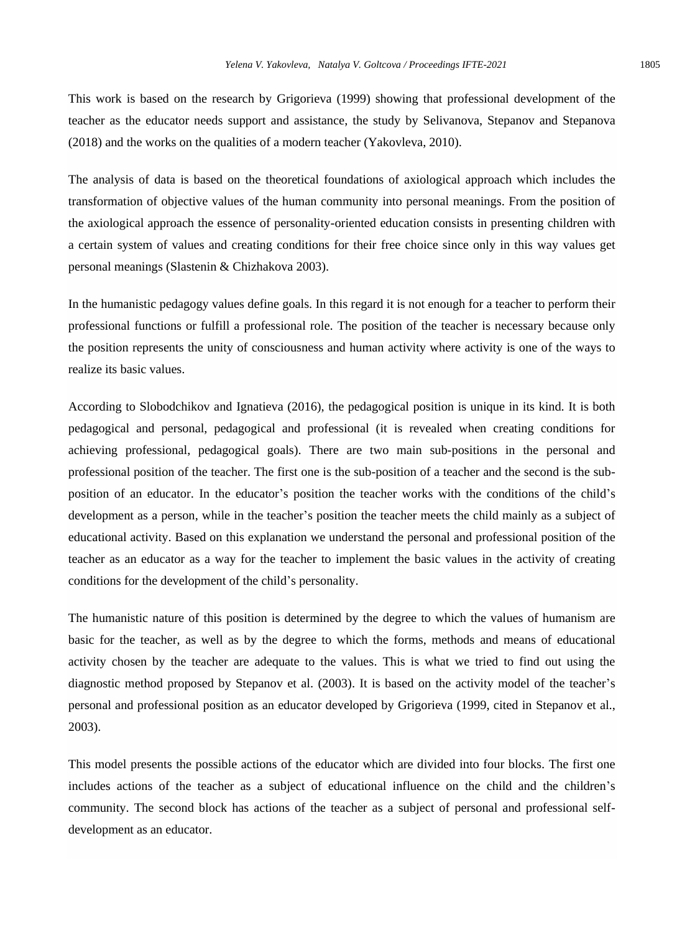This work is based on the research by Grigorieva (1999) showing that professional development of the teacher as the educator needs support and assistance, the study by Selivanova, Stepanov and Stepanova (2018) and the works on the qualities of a modern teacher (Yakovleva, 2010).

The analysis of data is based on the theoretical foundations of axiological approach which includes the transformation of objective values of the human community into personal meanings. From the position of the axiological approach the essence of personality-oriented education consists in presenting children with a certain system of values and creating conditions for their free choice since only in this way values get personal meanings (Slastenin & Chizhakova 2003).

In the humanistic pedagogy values define goals. In this regard it is not enough for a teacher to perform their professional functions or fulfill a professional role. The position of the teacher is necessary because only the position represents the unity of consciousness and human activity where activity is one of the ways to realize its basic values.

According to Slobodchikov and Ignatieva (2016), the pedagogical position is unique in its kind. It is both pedagogical and personal, pedagogical and professional (it is revealed when creating conditions for achieving professional, pedagogical goals). There are two main sub-positions in the personal and professional position of the teacher. The first one is the sub-position of a teacher and the second is the subposition of an educator. In the educator's position the teacher works with the conditions of the child's development as a person, while in the teacher's position the teacher meets the child mainly as a subject of educational activity. Based on this explanation we understand the personal and professional position of the teacher as an educator as a way for the teacher to implement the basic values in the activity of creating conditions for the development of the child's personality.

The humanistic nature of this position is determined by the degree to which the values of humanism are basic for the teacher, as well as by the degree to which the forms, methods and means of educational activity chosen by the teacher are adequate to the values. This is what we tried to find out using the diagnostic method proposed by Stepanov et al. (2003). It is based on the activity model of the teacher's personal and professional position as an educator developed by Grigorieva (1999, cited in Stepanov et al., 2003).

This model presents the possible actions of the educator which are divided into four blocks. The first one includes actions of the teacher as a subject of educational influence on the child and the children's community. The second block has actions of the teacher as a subject of personal and professional selfdevelopment as an educator.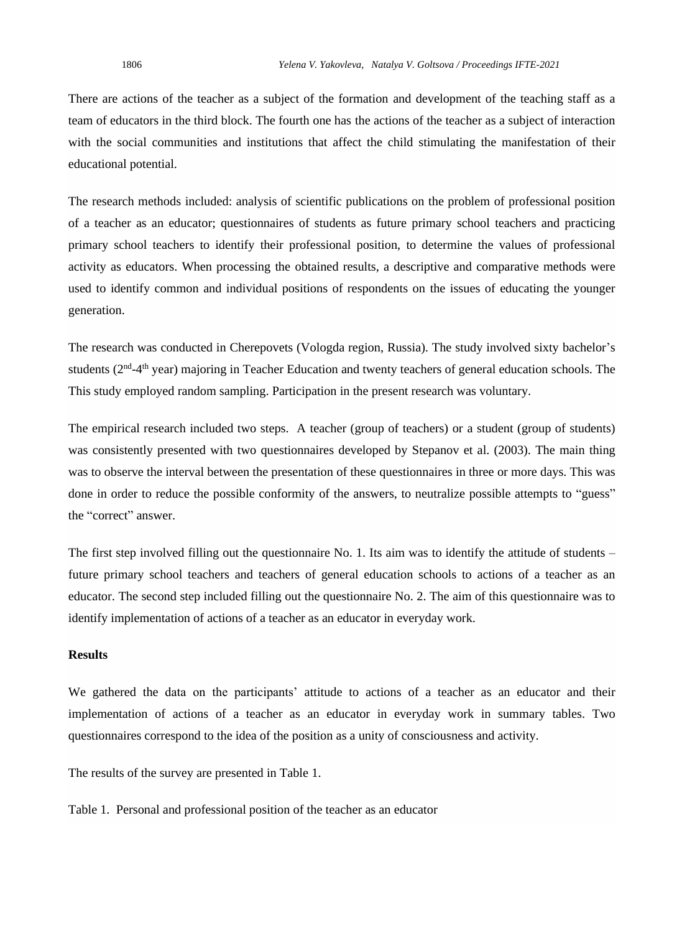There are actions of the teacher as a subject of the formation and development of the teaching staff as a team of educators in the third block. The fourth one has the actions of the teacher as a subject of interaction with the social communities and institutions that affect the child stimulating the manifestation of their educational potential.

The research methods included: analysis of scientific publications on the problem of professional position of a teacher as an educator; questionnaires of students as future primary school teachers and practicing primary school teachers to identify their professional position, to determine the values of professional activity as educators. When processing the obtained results, a descriptive and comparative methods were used to identify common and individual positions of respondents on the issues of educating the younger generation.

The research was conducted in Cherepovets (Vologda region, Russia). The study involved sixty bachelor's students (2<sup>nd</sup>-4<sup>th</sup> year) majoring in Teacher Education and twenty teachers of general education schools. The This study employed random sampling. Participation in the present research was voluntary.

The empirical research included two steps. A teacher (group of teachers) or a student (group of students) was consistently presented with two questionnaires developed by Stepanov et al. (2003). The main thing was to observe the interval between the presentation of these questionnaires in three or more days. This was done in order to reduce the possible conformity of the answers, to neutralize possible attempts to "guess" the "correct" answer.

The first step involved filling out the questionnaire No. 1. Its aim was to identify the attitude of students – future primary school teachers and teachers of general education schools to actions of a teacher as an educator. The second step included filling out the questionnaire No. 2. The aim of this questionnaire was to identify implementation of actions of a teacher as an educator in everyday work.

#### **Results**

We gathered the data on the participants' attitude to actions of a teacher as an educator and their implementation of actions of a teacher as an educator in everyday work in summary tables. Two questionnaires correspond to the idea of the position as a unity of consciousness and activity.

The results of the survey are presented in Table 1.

Table 1. Personal and professional position of the teacher as an educator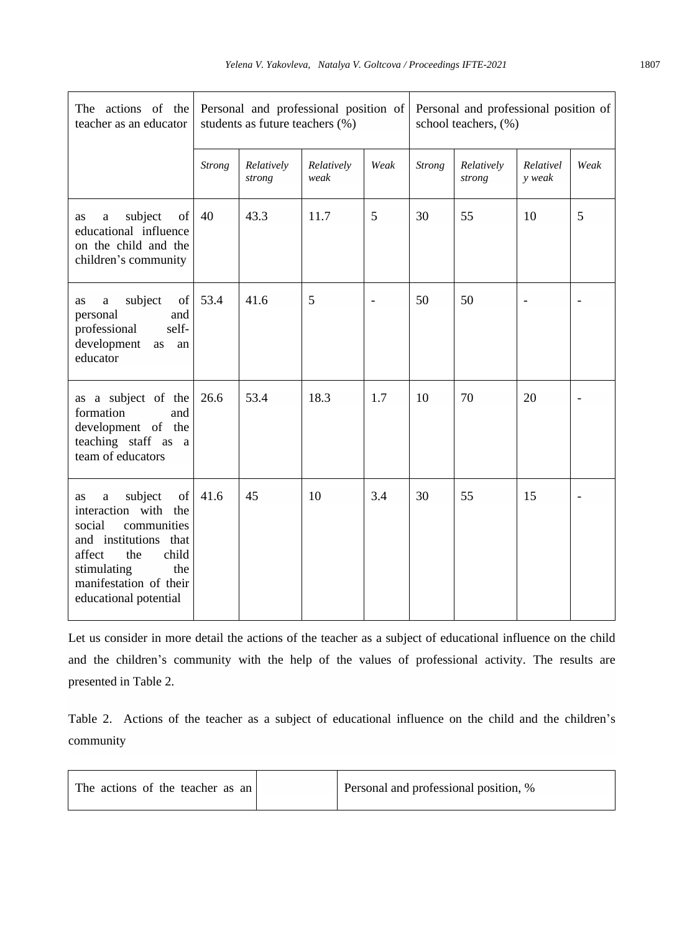| The actions of the<br>teacher as an educator                                                                                                                                                          | Personal and professional position of<br>students as future teachers (%) |                      |                    | Personal and professional position of<br>school teachers, (%) |               |                      |                     |      |
|-------------------------------------------------------------------------------------------------------------------------------------------------------------------------------------------------------|--------------------------------------------------------------------------|----------------------|--------------------|---------------------------------------------------------------|---------------|----------------------|---------------------|------|
|                                                                                                                                                                                                       | <b>Strong</b>                                                            | Relatively<br>strong | Relatively<br>weak | Weak                                                          | <b>Strong</b> | Relatively<br>strong | Relativel<br>y weak | Weak |
| subject<br>of<br><b>as</b><br>a<br>educational influence<br>on the child and the<br>children's community                                                                                              | 40                                                                       | 43.3                 | 11.7               | 5                                                             | 30            | 55                   | 10                  | 5    |
| subject<br>of<br>as<br>$\mathbf{a}$<br>personal<br>and<br>self-<br>professional<br>development<br>as<br>an<br>educator                                                                                | 53.4                                                                     | 41.6                 | 5                  | $\overline{\phantom{a}}$                                      | 50            | 50                   |                     |      |
| as a subject of the<br>formation<br>and<br>development of the<br>teaching staff as a<br>team of educators                                                                                             | 26.6                                                                     | 53.4                 | 18.3               | 1.7                                                           | 10            | 70                   | 20                  |      |
| subject<br>of<br>as<br>a<br>interaction with the<br>social<br>communities<br>and institutions that<br>child<br>affect<br>the<br>stimulating<br>the<br>manifestation of their<br>educational potential | 41.6                                                                     | 45                   | 10                 | 3.4                                                           | 30            | 55                   | 15                  |      |

Let us consider in more detail the actions of the teacher as a subject of educational influence on the child and the children's community with the help of the values of professional activity. The results are presented in Table 2.

Table 2. Actions of the teacher as a subject of educational influence on the child and the children's community

| The actions of the teacher as an | Personal and professional position, % |
|----------------------------------|---------------------------------------|
|                                  |                                       |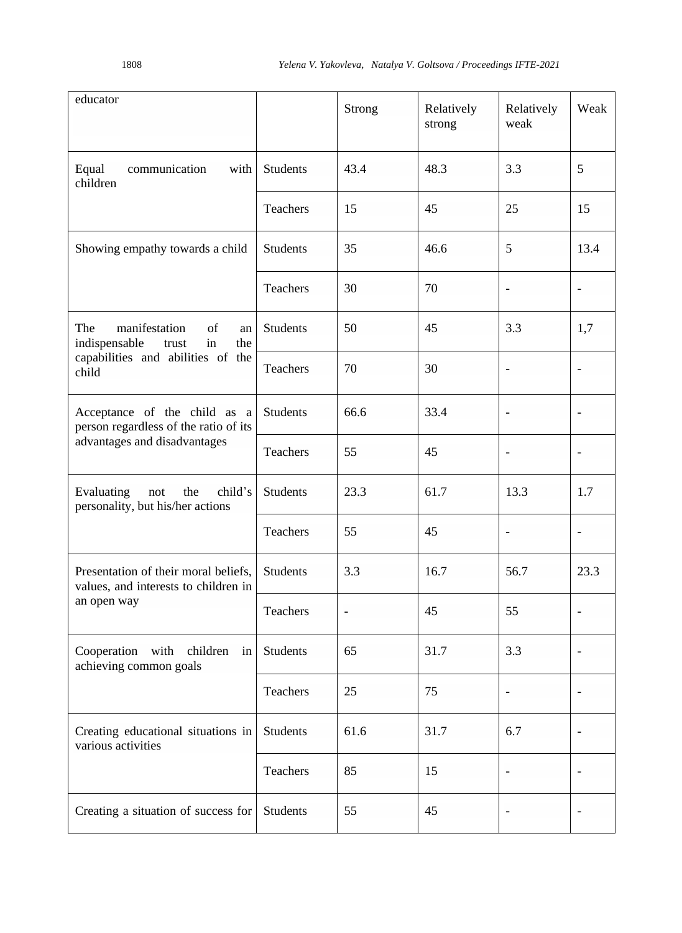| educator                                                                                                              |                 | Strong                   | Relatively<br>strong | Relatively<br>weak           | Weak                     |
|-----------------------------------------------------------------------------------------------------------------------|-----------------|--------------------------|----------------------|------------------------------|--------------------------|
| Equal<br>communication<br>with<br>children                                                                            | <b>Students</b> | 43.4                     | 48.3                 | 3.3                          | 5                        |
|                                                                                                                       | Teachers        | 15                       | 45                   | 25                           | 15                       |
| Showing empathy towards a child                                                                                       | <b>Students</b> | 35                       | 46.6                 | 5                            | 13.4                     |
|                                                                                                                       | Teachers        | 30                       | 70                   | $\overline{\phantom{a}}$     | $\overline{\phantom{a}}$ |
| The<br>manifestation<br>of<br>an<br>indispensable<br>in<br>the<br>trust<br>capabilities and abilities of the<br>child | <b>Students</b> | 50                       | 45                   | 3.3                          | 1,7                      |
|                                                                                                                       | Teachers        | 70                       | 30                   | $\overline{\phantom{a}}$     | $\overline{\phantom{0}}$ |
| Acceptance of the child as a<br>person regardless of the ratio of its<br>advantages and disadvantages                 | <b>Students</b> | 66.6                     | 33.4                 | $\overline{\phantom{0}}$     | $\overline{a}$           |
|                                                                                                                       | Teachers        | 55                       | 45                   | $\blacksquare$               | $\blacksquare$           |
| Evaluating<br>not<br>the<br>child's<br>personality, but his/her actions                                               | <b>Students</b> | 23.3                     | 61.7                 | 13.3                         | 1.7                      |
|                                                                                                                       | Teachers        | 55                       | 45                   |                              |                          |
| Presentation of their moral beliefs,<br>values, and interests to children in                                          | <b>Students</b> | 3.3                      | 16.7                 | 56.7                         | 23.3                     |
| an open way                                                                                                           | Teachers        | $\overline{\phantom{a}}$ | 45                   | 55                           | $\overline{\phantom{a}}$ |
| Cooperation<br>with<br>children<br>in<br>achieving common goals                                                       | <b>Students</b> | 65                       | 31.7                 | 3.3                          |                          |
|                                                                                                                       | Teachers        | 25                       | 75                   |                              |                          |
| Creating educational situations in<br>various activities                                                              | Students        | 61.6                     | 31.7                 | 6.7                          | $\overline{\phantom{a}}$ |
|                                                                                                                       | Teachers        | 85                       | 15                   | $\qquad \qquad \blacksquare$ | $\overline{\phantom{0}}$ |
| Creating a situation of success for                                                                                   | Students        | 55                       | 45                   |                              |                          |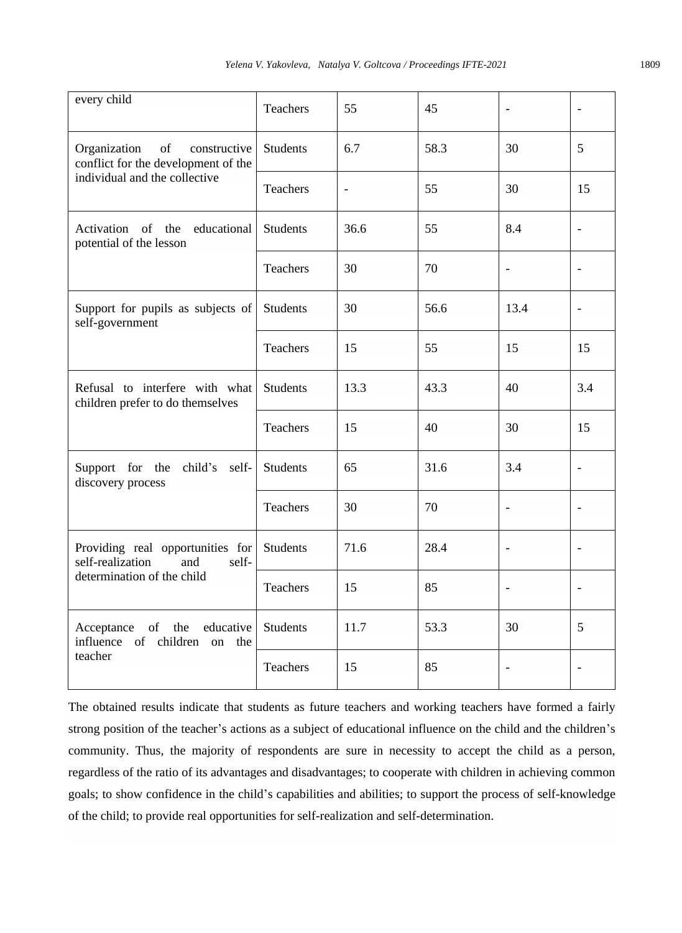| every child                                                                                        | Teachers        | 55            | 45   | $\frac{1}{2}$                | $\blacksquare$               |
|----------------------------------------------------------------------------------------------------|-----------------|---------------|------|------------------------------|------------------------------|
| Organization<br>of<br>constructive<br>conflict for the development of the                          | <b>Students</b> | 6.7           | 58.3 | 30                           | 5                            |
| individual and the collective                                                                      | <b>Teachers</b> | $\frac{1}{2}$ | 55   | 30                           | 15                           |
| Activation of the educational<br>potential of the lesson                                           | <b>Students</b> | 36.6          | 55   | 8.4                          | $\qquad \qquad \blacksquare$ |
|                                                                                                    | <b>Teachers</b> | 30            | 70   | $\frac{1}{2}$                | $\overline{a}$               |
| Support for pupils as subjects of<br>self-government                                               | <b>Students</b> | 30            | 56.6 | 13.4                         | $\overline{a}$               |
|                                                                                                    | Teachers        | 15            | 55   | 15                           | 15                           |
| Refusal to interfere with what<br>children prefer to do themselves                                 | <b>Students</b> | 13.3          | 43.3 | 40                           | 3.4                          |
|                                                                                                    | Teachers        | 15            | 40   | 30                           | 15                           |
| Support for the<br>child's<br>self-<br>discovery process                                           | <b>Students</b> | 65            | 31.6 | 3.4                          | $\overline{\phantom{a}}$     |
|                                                                                                    | <b>Teachers</b> | 30            | 70   | $\frac{1}{2}$                | $\overline{\phantom{a}}$     |
| Providing real opportunities for<br>self-realization<br>and<br>self-<br>determination of the child | <b>Students</b> | 71.6          | 28.4 | $\blacksquare$               | $\blacksquare$               |
|                                                                                                    | Teachers        | 15            | 85   | $\qquad \qquad \blacksquare$ | $\overline{\phantom{a}}$     |
| of<br>educative<br>Acceptance<br>the<br>influence of children on<br>the                            | <b>Students</b> | 11.7          | 53.3 | 30                           | 5                            |
| teacher                                                                                            | Teachers        | 15            | 85   | $\blacksquare$               |                              |

The obtained results indicate that students as future teachers and working teachers have formed a fairly strong position of the teacher's actions as a subject of educational influence on the child and the children's community. Thus, the majority of respondents are sure in necessity to accept the child as a person, regardless of the ratio of its advantages and disadvantages; to cooperate with children in achieving common goals; to show confidence in the child's capabilities and abilities; to support the process of self-knowledge of the child; to provide real opportunities for self-realization and self-determination.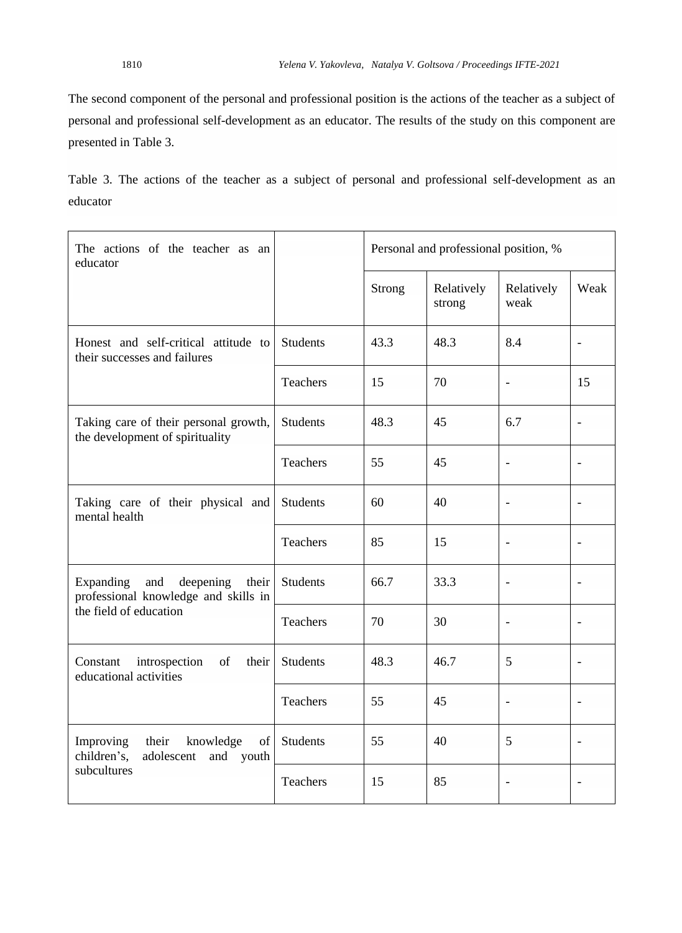The second component of the personal and professional position is the actions of the teacher as a subject of personal and professional self-development as an educator. The results of the study on this component are presented in Table 3.

Table 3. The actions of the teacher as a subject of personal and professional self-development as an educator

| The actions of the teacher as an<br>educator                                    |                 | Personal and professional position, % |                      |                    |                          |  |
|---------------------------------------------------------------------------------|-----------------|---------------------------------------|----------------------|--------------------|--------------------------|--|
|                                                                                 |                 | Strong                                | Relatively<br>strong | Relatively<br>weak | Weak                     |  |
| Honest and self-critical attitude to<br>their successes and failures            | <b>Students</b> | 43.3                                  | 48.3                 | 8.4                |                          |  |
|                                                                                 | Teachers        | 15                                    | 70                   |                    | 15                       |  |
| Taking care of their personal growth,<br>the development of spirituality        | <b>Students</b> | 48.3                                  | 45                   | 6.7                |                          |  |
|                                                                                 | Teachers        | 55                                    | 45                   | $\overline{a}$     |                          |  |
| Taking care of their physical and<br>mental health                              | <b>Students</b> | 60                                    | 40                   | $\overline{a}$     | $\overline{\phantom{a}}$ |  |
|                                                                                 | Teachers        | 85                                    | 15                   |                    |                          |  |
| Expanding<br>and<br>deepening<br>their<br>professional knowledge and skills in  | <b>Students</b> | 66.7                                  | 33.3                 |                    |                          |  |
| the field of education                                                          | Teachers        | 70                                    | 30                   | $\overline{a}$     | $\overline{\phantom{a}}$ |  |
| of<br>introspection<br>their<br>Constant<br>educational activities              | Students        | 48.3                                  | 46.7                 | 5                  |                          |  |
|                                                                                 | Teachers        | 55                                    | 45                   | $\overline{a}$     |                          |  |
| Improving<br>their<br>knowledge<br>of<br>children's,<br>adolescent<br>and youth | <b>Students</b> | 55                                    | 40                   | 5                  |                          |  |
| subcultures                                                                     | Teachers        | 15                                    | 85                   |                    |                          |  |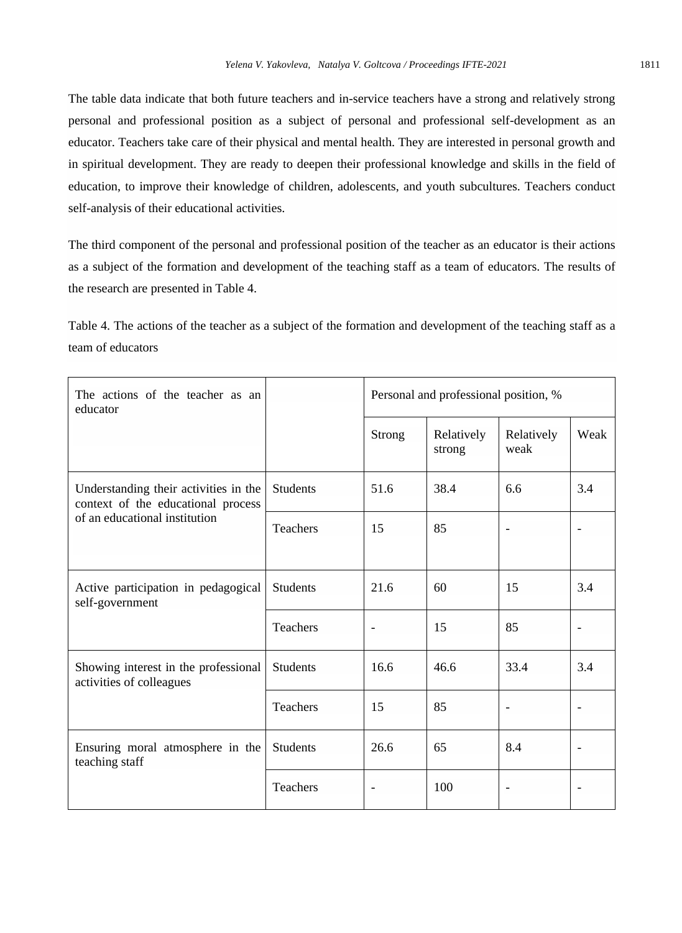The table data indicate that both future teachers and in-service teachers have a strong and relatively strong personal and professional position as a subject of personal and professional self-development as an educator. Teachers take care of their physical and mental health. They are interested in personal growth and in spiritual development. They are ready to deepen their professional knowledge and skills in the field of education, to improve their knowledge of children, adolescents, and youth subcultures. Teachers conduct self-analysis of their educational activities.

The third component of the personal and professional position of the teacher as an educator is their actions as a subject of the formation and development of the teaching staff as a team of educators. The results of the research are presented in Table 4.

Table 4. The actions of the teacher as a subject of the formation and development of the teaching staff as a team of educators

| The actions of the teacher as an<br>educator                                                                 |                 | Personal and professional position, % |                      |                    |                          |  |
|--------------------------------------------------------------------------------------------------------------|-----------------|---------------------------------------|----------------------|--------------------|--------------------------|--|
|                                                                                                              |                 | Strong                                | Relatively<br>strong | Relatively<br>weak | Weak                     |  |
| Understanding their activities in the<br>context of the educational process<br>of an educational institution | <b>Students</b> | 51.6                                  | 38.4                 | 6.6                | 3.4                      |  |
|                                                                                                              | <b>Teachers</b> | 15                                    | 85                   |                    |                          |  |
| Active participation in pedagogical<br>self-government                                                       | <b>Students</b> | 21.6                                  | 60                   | 15                 | 3.4                      |  |
|                                                                                                              | Teachers        | $\overline{\phantom{a}}$              | 15                   | 85                 | $\overline{\phantom{a}}$ |  |
| Showing interest in the professional<br>activities of colleagues                                             | <b>Students</b> | 16.6                                  | 46.6                 | 33.4               | 3.4                      |  |
|                                                                                                              | Teachers        | 15                                    | 85                   | $\overline{a}$     |                          |  |
| Ensuring moral atmosphere in the<br>teaching staff                                                           | <b>Students</b> | 26.6                                  | 65                   | 8.4                |                          |  |
|                                                                                                              | <b>Teachers</b> |                                       | 100                  |                    |                          |  |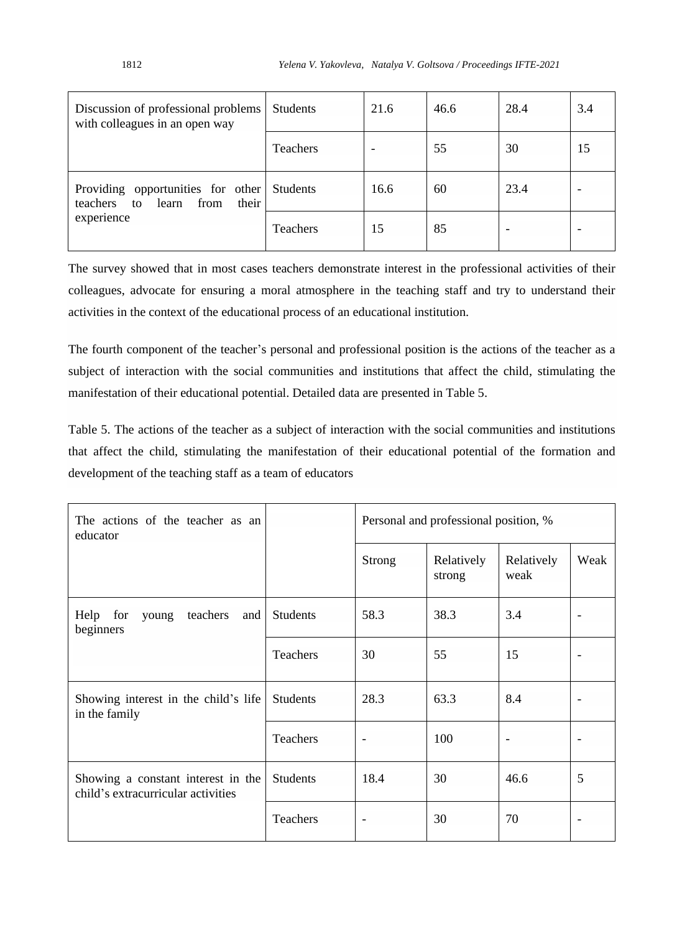| Discussion of professional problems<br>with colleagues in an open way                  | <b>Students</b> | 21.6 | 46.6 | 28.4 | 3.4 |
|----------------------------------------------------------------------------------------|-----------------|------|------|------|-----|
|                                                                                        | <b>Teachers</b> |      | 55   | 30   | 15  |
| Providing opportunities for other Students<br>from<br>their<br>learn<br>teachers<br>to |                 | 16.6 | 60   | 23.4 |     |
| experience                                                                             | Teachers        | 15   | 85   |      |     |

The survey showed that in most cases teachers demonstrate interest in the professional activities of their colleagues, advocate for ensuring a moral atmosphere in the teaching staff and try to understand their activities in the context of the educational process of an educational institution.

The fourth component of the teacher's personal and professional position is the actions of the teacher as a subject of interaction with the social communities and institutions that affect the child, stimulating the manifestation of their educational potential. Detailed data are presented in Table 5.

Table 5. The actions of the teacher as a subject of interaction with the social communities and institutions that affect the child, stimulating the manifestation of their educational potential of the formation and development of the teaching staff as a team of educators

| The actions of the teacher as an<br>educator                             |                 | Personal and professional position, % |                      |                    |                          |  |
|--------------------------------------------------------------------------|-----------------|---------------------------------------|----------------------|--------------------|--------------------------|--|
|                                                                          |                 | <b>Strong</b>                         | Relatively<br>strong | Relatively<br>weak | Weak                     |  |
| Help for<br>teachers<br>and  <br>young<br>beginners                      | <b>Students</b> | 58.3                                  | 38.3                 | 3.4                |                          |  |
|                                                                          | Teachers        | 30                                    | 55                   | 15                 |                          |  |
| Showing interest in the child's life<br>in the family                    | <b>Students</b> | 28.3                                  | 63.3                 | 8.4                | $\overline{\phantom{0}}$ |  |
|                                                                          | Teachers        | $\overline{\phantom{a}}$              | 100                  |                    |                          |  |
| Showing a constant interest in the<br>child's extracurricular activities | <b>Students</b> | 18.4                                  | 30                   | 46.6               | 5                        |  |
|                                                                          | Teachers        |                                       | 30                   | 70                 |                          |  |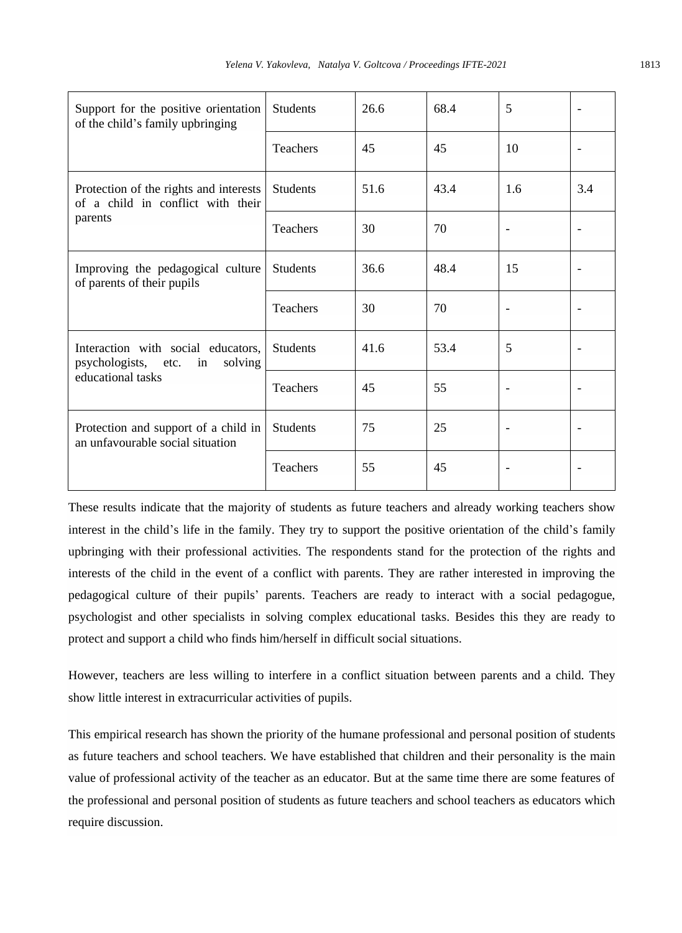| Support for the positive orientation<br>of the child's family upbringing                        | <b>Students</b> | 26.6 | 68.4 | 5   |     |
|-------------------------------------------------------------------------------------------------|-----------------|------|------|-----|-----|
|                                                                                                 | <b>Teachers</b> | 45   | 45   | 10  |     |
| Protection of the rights and interests<br>of a child in conflict with their<br>parents          | <b>Students</b> | 51.6 | 43.4 | 1.6 | 3.4 |
|                                                                                                 | <b>Teachers</b> | 30   | 70   |     |     |
| Improving the pedagogical culture<br>of parents of their pupils                                 | <b>Students</b> | 36.6 | 48.4 | 15  |     |
|                                                                                                 | <b>Teachers</b> | 30   | 70   |     |     |
| Interaction with social educators,<br>psychologists, etc.<br>solving<br>in<br>educational tasks | <b>Students</b> | 41.6 | 53.4 | 5   |     |
|                                                                                                 | Teachers        | 45   | 55   |     |     |
| Protection and support of a child in<br>an unfavourable social situation                        | <b>Students</b> | 75   | 25   |     |     |
|                                                                                                 | <b>Teachers</b> | 55   | 45   |     |     |

These results indicate that the majority of students as future teachers and already working teachers show interest in the child's life in the family. They try to support the positive orientation of the child's family upbringing with their professional activities. The respondents stand for the protection of the rights and interests of the child in the event of a conflict with parents. They are rather interested in improving the pedagogical culture of their pupils' parents. Teachers are ready to interact with a social pedagogue, psychologist and other specialists in solving complex educational tasks. Besides this they are ready to protect and support a child who finds him/herself in difficult social situations.

However, teachers are less willing to interfere in a conflict situation between parents and a child. They show little interest in extracurricular activities of pupils.

This empirical research has shown the priority of the humane professional and personal position of students as future teachers and school teachers. We have established that children and their personality is the main value of professional activity of the teacher as an educator. But at the same time there are some features of the professional and personal position of students as future teachers and school teachers as educators which require discussion.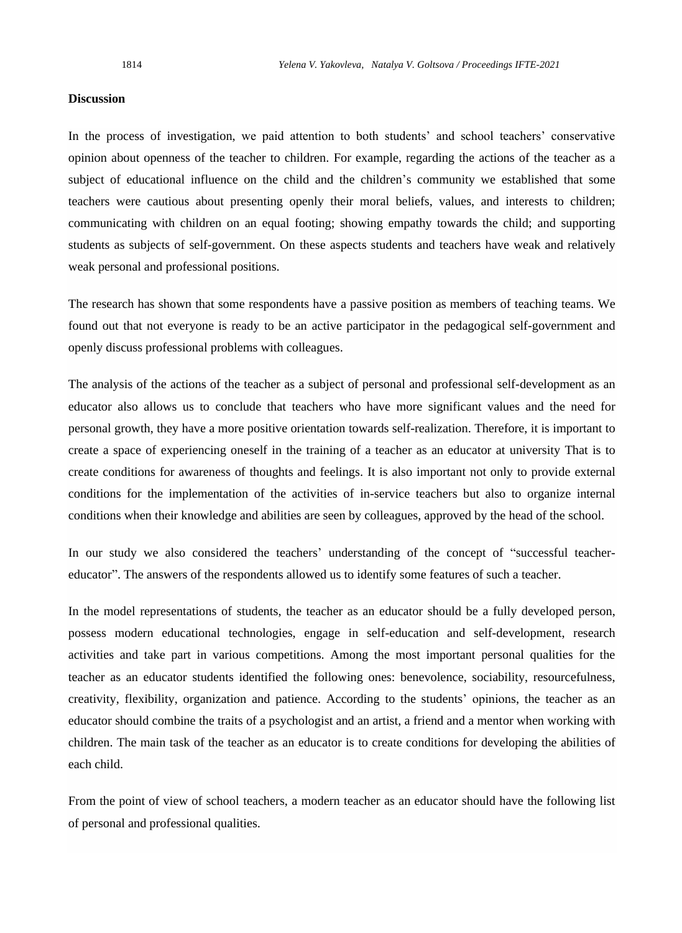#### **Discussion**

In the process of investigation, we paid attention to both students' and school teachers' conservative opinion about openness of the teacher to children. For example, regarding the actions of the teacher as a subject of educational influence on the child and the children's community we established that some teachers were cautious about presenting openly their moral beliefs, values, and interests to children; communicating with children on an equal footing; showing empathy towards the child; and supporting students as subjects of self-government. On these aspects students and teachers have weak and relatively weak personal and professional positions.

The research has shown that some respondents have a passive position as members of teaching teams. We found out that not everyone is ready to be an active participator in the pedagogical self-government and openly discuss professional problems with colleagues.

The analysis of the actions of the teacher as a subject of personal and professional self-development as an educator also allows us to conclude that teachers who have more significant values and the need for personal growth, they have a more positive orientation towards self-realization. Therefore, it is important to create a space of experiencing oneself in the training of a teacher as an educator at university That is to create conditions for awareness of thoughts and feelings. It is also important not only to provide external conditions for the implementation of the activities of in-service teachers but also to organize internal conditions when their knowledge and abilities are seen by colleagues, approved by the head of the school.

In our study we also considered the teachers' understanding of the concept of "successful teachereducator". The answers of the respondents allowed us to identify some features of such a teacher.

In the model representations of students, the teacher as an educator should be a fully developed person, possess modern educational technologies, engage in self-education and self-development, research activities and take part in various competitions. Among the most important personal qualities for the teacher as an educator students identified the following ones: benevolence, sociability, resourcefulness, creativity, flexibility, organization and patience. According to the students' opinions, the teacher as an educator should combine the traits of a psychologist and an artist, a friend and a mentor when working with children. The main task of the teacher as an educator is to create conditions for developing the abilities of each child.

From the point of view of school teachers, a modern teacher as an educator should have the following list of personal and professional qualities.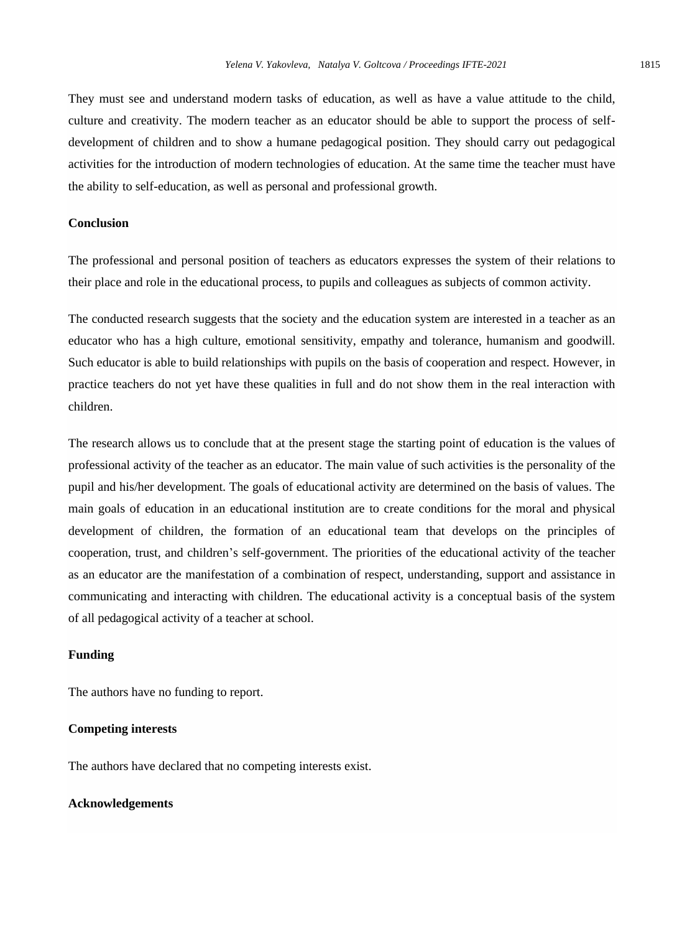They must see and understand modern tasks of education, as well as have a value attitude to the child, culture and creativity. The modern teacher as an educator should be able to support the process of selfdevelopment of children and to show a humane pedagogical position. They should carry out pedagogical activities for the introduction of modern technologies of education. At the same time the teacher must have the ability to self-education, as well as personal and professional growth.

## **Conclusion**

The professional and personal position of teachers as educators expresses the system of their relations to their place and role in the educational process, to pupils and colleagues as subjects of common activity.

The conducted research suggests that the society and the education system are interested in a teacher as an educator who has a high culture, emotional sensitivity, empathy and tolerance, humanism and goodwill. Such educator is able to build relationships with pupils on the basis of cooperation and respect. However, in practice teachers do not yet have these qualities in full and do not show them in the real interaction with children.

The research allows us to conclude that at the present stage the starting point of education is the values of professional activity of the teacher as an educator. The main value of such activities is the personality of the pupil and his/her development. The goals of educational activity are determined on the basis of values. The main goals of education in an educational institution are to create conditions for the moral and physical development of children, the formation of an educational team that develops on the principles of cooperation, trust, and children's self-government. The priorities of the educational activity of the teacher as an educator are the manifestation of a combination of respect, understanding, support and assistance in communicating and interacting with children. The educational activity is a conceptual basis of the system of all pedagogical activity of a teacher at school.

#### **Funding**

The authors have no funding to report.

#### **Competing interests**

The authors have declared that no competing interests exist.

# **Acknowledgements**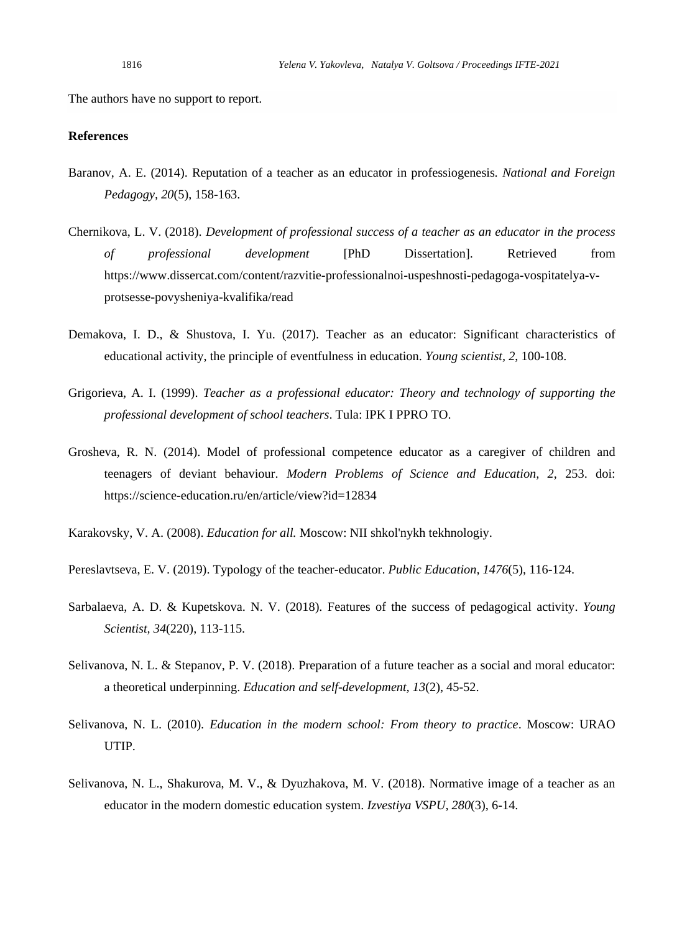The authors have no support to report.

# **References**

- Baranov, A. E. (2014). Reputation of a teacher as an educator in professiogenesis*. National and Foreign Pedagogy, 20*(5), 158-163.
- Chernikova, L. V. (2018). *Development of professional success of a teacher as an educator in the process of professional development* [PhD Dissertation]. Retrieved from https://www.dissercat.com/content/razvitie-professionalnoi-uspeshnosti-pedagoga-vospitatelya-vprotsesse-povysheniya-kvalifika/read
- Demakova, I. D., & Shustova, I. Yu. (2017). Teacher as an educator: Significant characteristics of educational activity, the principle of eventfulness in education. *Young scientist, 2*, 100-108.
- Grigorieva, A. I. (1999). *Teacher as a professional educator: Theory and technology of supporting the professional development of school teachers*. Tula: IPK I PPRO TO.
- Grosheva, R. N. (2014). Model of professional competence educator as a caregiver of children and teenagers of deviant behaviour. *Modern Problems of Science and Education, 2*, 253. doi: <https://science-education.ru/en/article/view?id=12834>

Karakovsky, V. A. (2008). *Education for all.* Moscow: NII shkol'nykh tekhnologiy.

- Pereslavtseva, E. V. (2019). Typology of the teacher-educator. *Public Education, 1476*(5), 116-124.
- Sarbalaeva, A. D. & Kupetskova. N. V. (2018). Features of the success of pedagogical activity. *Young Scientist, 34*(220), 113-115.
- Selivanova, N. L. & Stepanov, P. V. (2018). Preparation of a future teacher as a social and moral educator: a theoretical underpinning. *Education and self-development, 13*(2), 45-52.
- Selivanova, N. L. (2010). *Education in the modern school: From theory to practice*. Moscow: URAO UTIP.
- Selivanova, N. L., Shakurova, M. V., & Dyuzhakova, M. V. (2018). Normative image of a teacher as an educator in the modern domestic education system. *Izvestiya VSPU, 280*(3), 6-14.